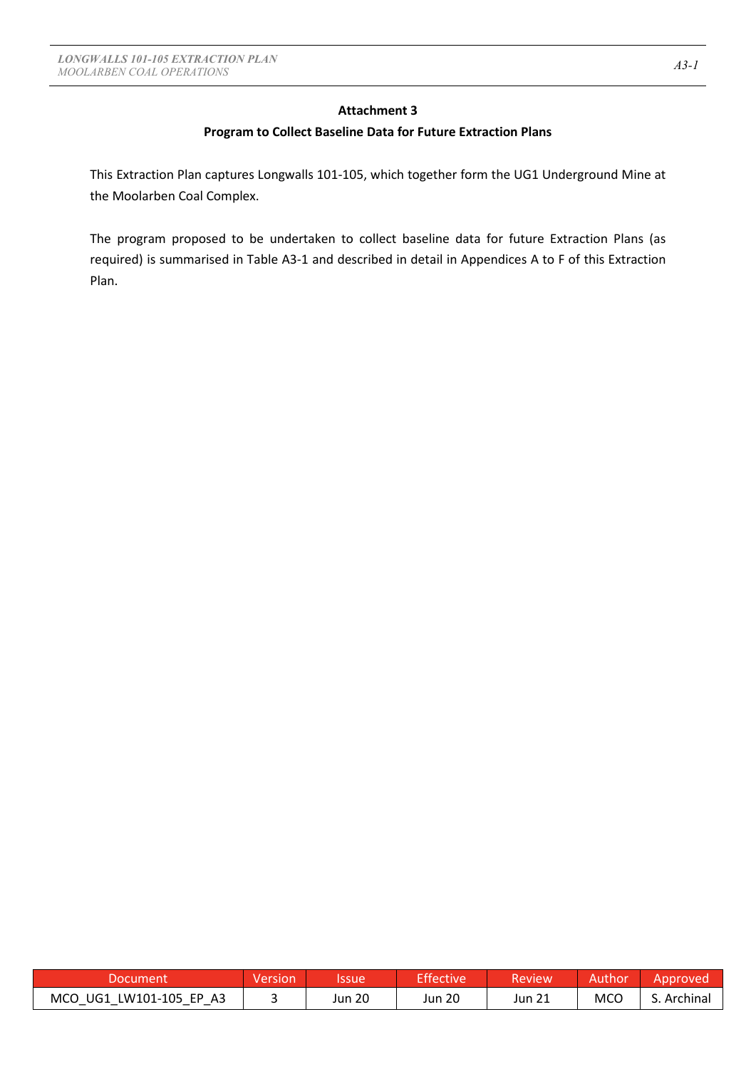## **Attachment 3**

## **Program to Collect Baseline Data for Future Extraction Plans**

This Extraction Plan captures Longwalls 101-105, which together form the UG1 Underground Mine at the Moolarben Coal Complex.

The program proposed to be undertaken to collect baseline data for future Extraction Plans (as required) is summarised in Table A3-1 and described in detail in Appendices A to F of this Extraction Plan.

| Document                                       | <i>Nery</i><br>sion | lssue  | <b>Effective</b> | Review | thor | Approvec   |
|------------------------------------------------|---------------------|--------|------------------|--------|------|------------|
| MCO UG1<br>LW101-105 EP<br>A <sub>3</sub><br>— |                     | Jun 20 | Jun 20           | Jun 21 | MCC  | . Archinal |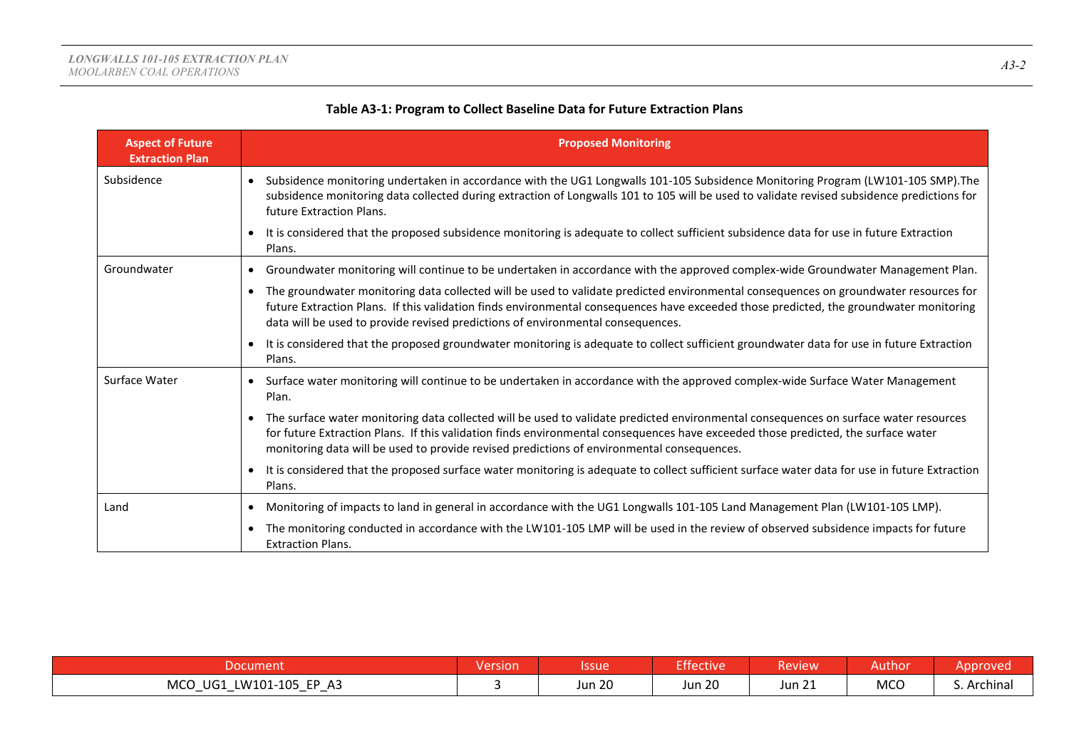| <b>Aspect of Future</b><br><b>Extraction Plan</b> | <b>Proposed Monitoring</b>                                                                                                                                                                                                                                                                                                                                              |
|---------------------------------------------------|-------------------------------------------------------------------------------------------------------------------------------------------------------------------------------------------------------------------------------------------------------------------------------------------------------------------------------------------------------------------------|
| Subsidence                                        | Subsidence monitoring undertaken in accordance with the UG1 Longwalls 101-105 Subsidence Monitoring Program (LW101-105 SMP). The<br>subsidence monitoring data collected during extraction of Longwalls 101 to 105 will be used to validate revised subsidence predictions for<br>future Extraction Plans.                                                              |
|                                                   | It is considered that the proposed subsidence monitoring is adequate to collect sufficient subsidence data for use in future Extraction<br>$\bullet$<br>Plans.                                                                                                                                                                                                          |
| Groundwater                                       | Groundwater monitoring will continue to be undertaken in accordance with the approved complex-wide Groundwater Management Plan.                                                                                                                                                                                                                                         |
|                                                   | The groundwater monitoring data collected will be used to validate predicted environmental consequences on groundwater resources for<br>future Extraction Plans. If this validation finds environmental consequences have exceeded those predicted, the groundwater monitoring<br>data will be used to provide revised predictions of environmental consequences.       |
|                                                   | It is considered that the proposed groundwater monitoring is adequate to collect sufficient groundwater data for use in future Extraction<br>Plans.                                                                                                                                                                                                                     |
| Surface Water                                     | Surface water monitoring will continue to be undertaken in accordance with the approved complex-wide Surface Water Management<br>Plan.                                                                                                                                                                                                                                  |
|                                                   | The surface water monitoring data collected will be used to validate predicted environmental consequences on surface water resources<br>for future Extraction Plans. If this validation finds environmental consequences have exceeded those predicted, the surface water<br>monitoring data will be used to provide revised predictions of environmental consequences. |
|                                                   | It is considered that the proposed surface water monitoring is adequate to collect sufficient surface water data for use in future Extraction<br>Plans.                                                                                                                                                                                                                 |
| Land                                              | Monitoring of impacts to land in general in accordance with the UG1 Longwalls 101-105 Land Management Plan (LW101-105 LMP).                                                                                                                                                                                                                                             |
|                                                   | The monitoring conducted in accordance with the LW101-105 LMP will be used in the review of observed subsidence impacts for future<br><b>Extraction Plans.</b>                                                                                                                                                                                                          |

## **Table A3-1: Program to Collect Baseline Data for Future Extraction Plans**

| Document                                                                                     | <b>Version</b> | Issue         | Effective     | Review          | Author     | Approved |
|----------------------------------------------------------------------------------------------|----------------|---------------|---------------|-----------------|------------|----------|
| LW101-105 EP A3<br><b>MCO</b><br>UG1<br>$\overline{\phantom{0}}$<br>$\overline{\phantom{0}}$ |                | <b>Jun 20</b> | <b>Jun 20</b> | $-24$<br>Jun 21 | <b>MCO</b> | Archinal |